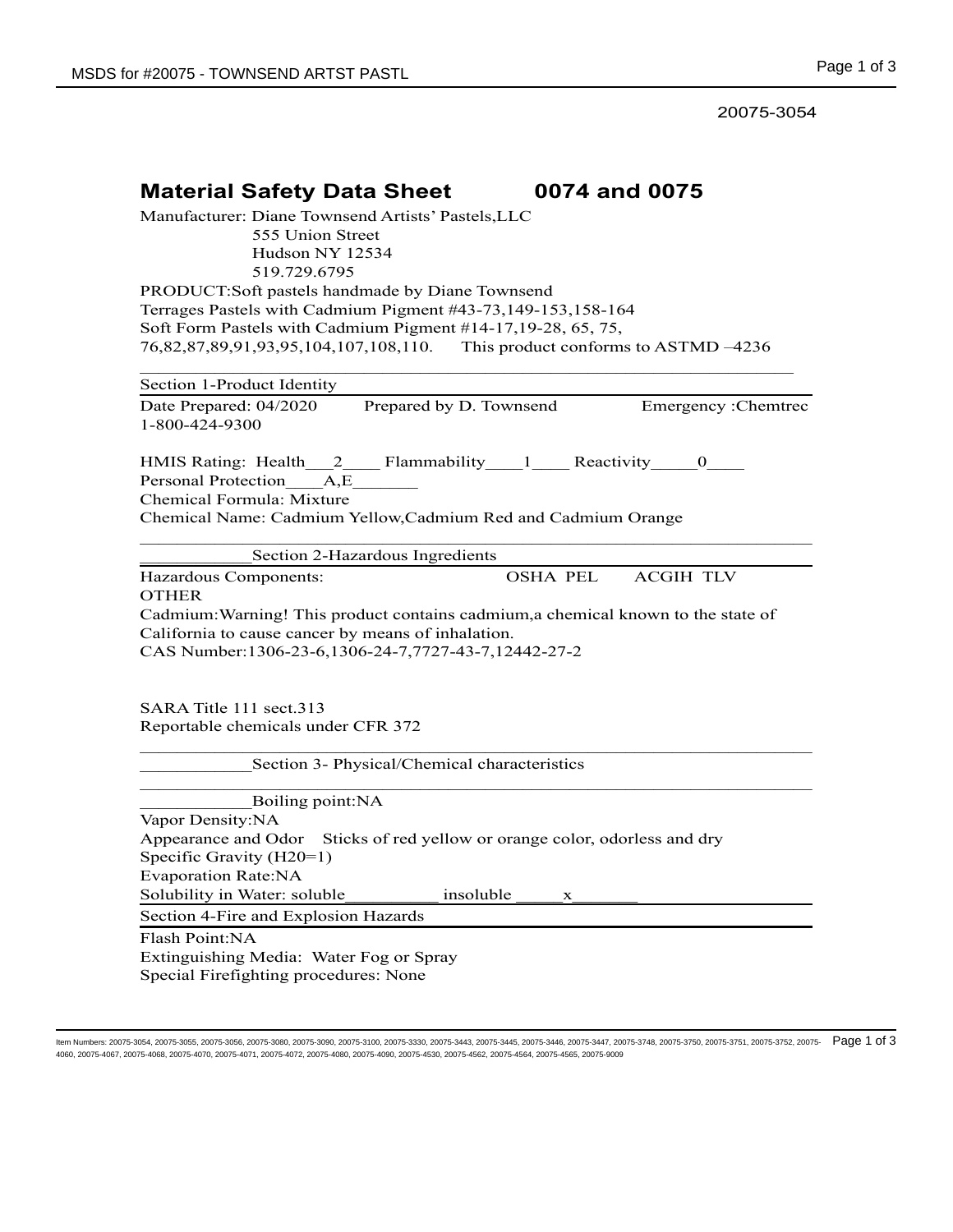20075-3054

| 0074 and 0075<br><b>Material Safety Data Sheet</b><br>Manufacturer: Diane Townsend Artists' Pastels, LLC<br>555 Union Street<br>Hudson NY 12534<br>519.729.6795                                                                                                                                                                                                              |
|------------------------------------------------------------------------------------------------------------------------------------------------------------------------------------------------------------------------------------------------------------------------------------------------------------------------------------------------------------------------------|
| PRODUCT:Soft pastels handmade by Diane Townsend<br>Terrages Pastels with Cadmium Pigment #43-73,149-153,158-164<br>Soft Form Pastels with Cadmium Pigment #14-17,19-28, 65, 75,<br>76,82,87,89,91,93,95,104,107,108,110. This product conforms to ASTMD -4236                                                                                                                |
| Section 1-Product Identity<br>Date Prepared: 04/2020<br>Prepared by D. Townsend<br>Emergency : Chemtrec<br>1-800-424-9300                                                                                                                                                                                                                                                    |
| HMIS Rating: Health_2____Flammability___1____Reactivity____0____<br>Personal Protection A,E<br>Chemical Formula: Mixture<br>Chemical Name: Cadmium Yellow, Cadmium Red and Cadmium Orange                                                                                                                                                                                    |
| Section 2-Hazardous Ingredients                                                                                                                                                                                                                                                                                                                                              |
| <b>OSHA PEL</b><br><b>ACGIH TLV</b><br>Hazardous Components:<br><b>OTHER</b><br>Cadmium: Warning! This product contains cadmium, a chemical known to the state of<br>California to cause cancer by means of inhalation.<br>CAS Number:1306-23-6,1306-24-7,7727-43-7,12442-27-2                                                                                               |
| SARA Title 111 sect.313<br>Reportable chemicals under CFR 372                                                                                                                                                                                                                                                                                                                |
| Section 3- Physical/Chemical characteristics                                                                                                                                                                                                                                                                                                                                 |
| Boiling point:NA<br>Vapor Density:NA<br>Appearance and Odor Sticks of red yellow or orange color, odorless and dry<br>Specific Gravity (H20=1)<br><b>Evaporation Rate:NA</b><br>Solubility in Water: soluble<br>insoluble<br>х<br>Section 4-Fire and Explosion Hazards<br>Flash Point:NA<br>Extinguishing Media: Water Fog or Spray<br>Special Firefighting procedures: None |

ltem Numbers: 20075-3054, 20075-3055, 20075-3056, 20075-3080, 20075-3100, 20075-3330, 20075-3443, 20075-3445, 20075-3446, 20075-3446, 20075-3748, 20075-3748, 20075-3750, 20075-3751, 20075-3752, 20075-3752, 20075-  $\textsf{Page 1$ 4060, 20075-4067, 20075-4068, 20075-4070, 20075-4071, 20075-4072, 20075-4080, 20075-4090, 20075-4530, 20075-4562, 20075-4564, 20075-4565, 20075-9009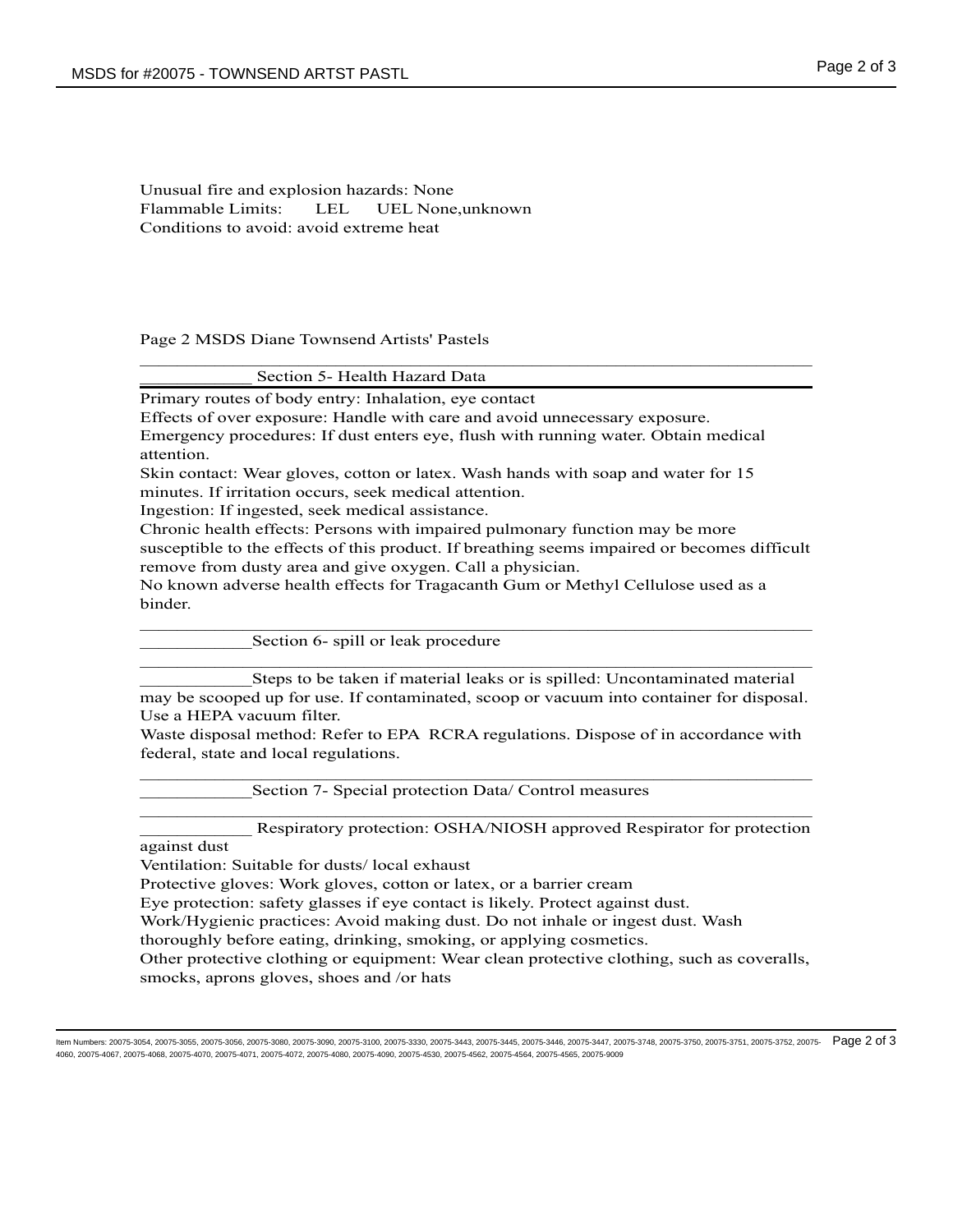Unusual fire and explosion hazards: None Flammable Limits: LEL UEL None,unknown Conditions to avoid: avoid extreme heat

Page 2 MSDS Diane Townsend Artists' Pastels

|  |  | Section 5- Health Hazard Data |  |
|--|--|-------------------------------|--|
|--|--|-------------------------------|--|

Primary routes of body entry: Inhalation, eye contact

Effects of over exposure: Handle with care and avoid unnecessary exposure.

Emergency procedures: If dust enters eye, flush with running water. Obtain medical attention.

Skin contact: Wear gloves, cotton or latex. Wash hands with soap and water for 15 minutes. If irritation occurs, seek medical attention.

Ingestion: If ingested, seek medical assistance.

Chronic health effects: Persons with impaired pulmonary function may be more susceptible to the effects of this product. If breathing seems impaired or becomes difficult remove from dusty area and give oxygen. Call a physician.

\_\_\_\_\_\_\_\_\_\_\_\_\_\_\_\_\_\_\_\_\_\_\_\_\_\_\_\_\_\_\_\_\_\_\_\_\_\_\_\_\_\_\_\_\_\_\_\_\_\_\_\_\_\_\_\_\_\_\_\_\_\_\_\_\_\_\_\_\_\_\_\_

\_\_\_\_\_\_\_\_\_\_\_\_\_\_\_\_\_\_\_\_\_\_\_\_\_\_\_\_\_\_\_\_\_\_\_\_\_\_\_\_\_\_\_\_\_\_\_\_\_\_\_\_\_\_\_\_\_\_\_\_\_\_\_\_\_\_\_\_\_\_\_\_

 $\mathcal{L}_\text{max}$  , and the contribution of the contribution of the contribution of the contribution of the contribution of the contribution of the contribution of the contribution of the contribution of the contribution of t

No known adverse health effects for Tragacanth Gum or Methyl Cellulose used as a binder.

Section 6- spill or leak procedure

Steps to be taken if material leaks or is spilled: Uncontaminated material may be scooped up for use. If contaminated, scoop or vacuum into container for disposal. Use a HEPA vacuum filter.

Waste disposal method: Refer to EPA RCRA regulations. Dispose of in accordance with federal, state and local regulations. \_\_\_\_\_\_\_\_\_\_\_\_\_\_\_\_\_\_\_\_\_\_\_\_\_\_\_\_\_\_\_\_\_\_\_\_\_\_\_\_\_\_\_\_\_\_\_\_\_\_\_\_\_\_\_\_\_\_\_\_\_\_\_\_\_\_\_\_\_\_\_\_

\_\_\_\_\_\_\_\_\_\_\_\_\_\_\_\_\_\_\_\_\_\_\_\_\_\_\_\_\_\_\_\_\_\_\_\_\_\_\_\_\_\_\_\_\_\_\_\_\_\_\_\_\_\_\_\_\_\_\_\_\_\_\_\_\_\_\_\_\_\_\_\_

Section 7- Special protection Data/ Control measures

Respiratory protection: OSHA/NIOSH approved Respirator for protection

against dust

Ventilation: Suitable for dusts/ local exhaust

Protective gloves: Work gloves, cotton or latex, or a barrier cream

Eye protection: safety glasses if eye contact is likely. Protect against dust.

Work/Hygienic practices: Avoid making dust. Do not inhale or ingest dust. Wash

thoroughly before eating, drinking, smoking, or applying cosmetics.

Other protective clothing or equipment: Wear clean protective clothing, such as coveralls, smocks, aprons gloves, shoes and /or hats

ltem Numbers: 20075-3054, 20075-3055, 20075-3056, 20075-3080, 20075-3100, 20075-3330, 20075-3443, 20075-3445, 20075-3446, 20075-3446, 20075-3748, 20075-3748, 20075-3750, 20075-3751, 20075-3752, 20075-3752, 20075-  $\textsf{Page 2$ 4060, 20075-4067, 20075-4068, 20075-4070, 20075-4071, 20075-4072, 20075-4080, 20075-4090, 20075-4530, 20075-4562, 20075-4564, 20075-4565, 20075-9009